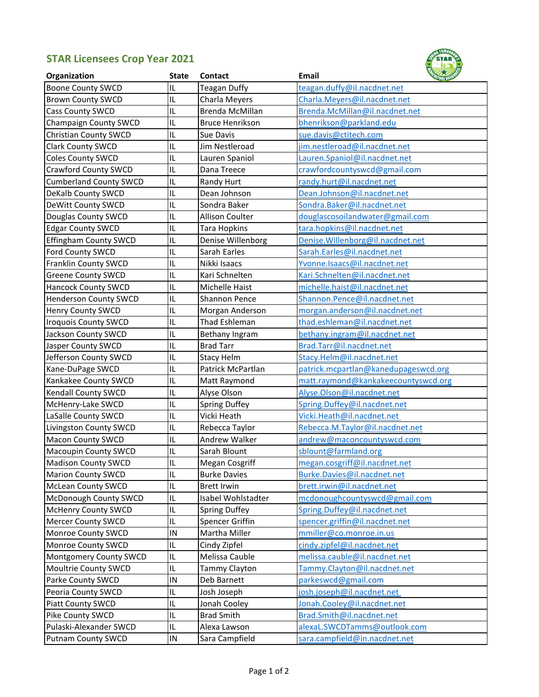## **STAR Licensees Crop Year 2021**



| Organization                  | <b>State</b> | Contact                | Email                                |  |
|-------------------------------|--------------|------------------------|--------------------------------------|--|
| <b>Boone County SWCD</b>      | IL           | <b>Teagan Duffy</b>    | teagan.duffy@il.nacdnet.net          |  |
| <b>Brown County SWCD</b>      | IL           | Charla Meyers          | Charla.Meyers@il.nacdnet.net         |  |
| <b>Cass County SWCD</b>       | IL           | Brenda McMillan        | Brenda.McMillan@il.nacdnet.net       |  |
| Champaign County SWCD         | IL           | <b>Bruce Henrikson</b> | bhenrikson@parkland.edu              |  |
| <b>Christian County SWCD</b>  | IL           | Sue Davis              | sue.davis@ctitech.com                |  |
| Clark County SWCD             | IL           | Jim Nestleroad         | jim.nestleroad@il.nacdnet.net        |  |
| Coles County SWCD             | IL           | Lauren Spaniol         | Lauren.Spaniol@il.nacdnet.net        |  |
| <b>Crawford County SWCD</b>   | IL           | Dana Treece            | crawfordcountyswcd@gmail.com         |  |
| <b>Cumberland County SWCD</b> | IL           | Randy Hurt             | randy.hurt@il.nacdnet.net            |  |
| <b>DeKalb County SWCD</b>     | IL           | Dean Johnson           | Dean.Johnson@il.nacdnet.net          |  |
| DeWitt County SWCD            | IL           | Sondra Baker           | Sondra.Baker@il.nacdnet.net          |  |
| Douglas County SWCD           | IL           | Allison Coulter        | douglascosoilandwater@gmail.com      |  |
| <b>Edgar County SWCD</b>      | IL           | <b>Tara Hopkins</b>    | tara.hopkins@il.nacdnet.net          |  |
| <b>Effingham County SWCD</b>  | IL           | Denise Willenborg      | Denise. Willenborg@il.nacdnet.net    |  |
| Ford County SWCD              | IL           | Sarah Earles           | Sarah.Earles@il.nacdnet.net          |  |
| Franklin County SWCD          | IL           | Nikki Isaacs           | Yvonne.Isaacs@il.nacdnet.net         |  |
| <b>Greene County SWCD</b>     | IL           | Kari Schnelten         | Kari.Schnelten@il.nacdnet.net        |  |
| <b>Hancock County SWCD</b>    | IL           | Michelle Haist         | michelle.haist@il.nacdnet.net        |  |
| <b>Henderson County SWCD</b>  | IL           | Shannon Pence          | Shannon.Pence@il.nacdnet.net         |  |
| <b>Henry County SWCD</b>      | IL           | Morgan Anderson        | morgan.anderson@il.nacdnet.net       |  |
| <b>Iroquois County SWCD</b>   | IL           | Thad Eshleman          | thad.eshleman@il.nacdnet.net         |  |
| Jackson County SWCD           | IL           | Bethany Ingram         | bethany.ingram@il.nacdnet.net        |  |
| Jasper County SWCD            | IL           | <b>Brad Tarr</b>       | Brad.Tarr@il.nacdnet.net             |  |
| Jefferson County SWCD         | IL           | <b>Stacy Helm</b>      | Stacy.Helm@il.nacdnet.net            |  |
| Kane-DuPage SWCD              | IL           | Patrick McPartlan      | patrick.mcpartlan@kanedupageswcd.org |  |
| Kankakee County SWCD          | IL           | Matt Raymond           | matt.raymond@kankakeecountyswcd.org  |  |
| Kendall County SWCD           | IL           | Alyse Olson            | Alyse.Olson@il.nacdnet.net           |  |
| McHenry-Lake SWCD             | IL           | <b>Spring Duffey</b>   | Spring.Duffey@il.nacdnet.net         |  |
| LaSalle County SWCD           | IL           | Vicki Heath            | Vicki.Heath@il.nacdnet.net           |  |
| Livingston County SWCD        | IL           | Rebecca Taylor         | Rebecca.M.Taylor@il.nacdnet.net      |  |
| <b>Macon County SWCD</b>      | IL           | Andrew Walker          | andrew@maconcountyswcd.com           |  |
| Macoupin County SWCD          | IL           | Sarah Blount           | sblount@farmland.org                 |  |
| <b>Madison County SWCD</b>    | IL           | Megan Cosgriff         | megan.cosgriff@il.nacdnet.net        |  |
| <b>Marion County SWCD</b>     | IL           | <b>Burke Davies</b>    | Burke.Davies@il.nacdnet.net          |  |
| <b>McLean County SWCD</b>     | IL           | <b>Brett Irwin</b>     | brett.irwin@il.nacdnet.net           |  |
| McDonough County SWCD         | IL           | Isabel Wohlstadter     | mcdonoughcountyswcd@gmail.com        |  |
| <b>McHenry County SWCD</b>    | IL           | <b>Spring Duffey</b>   | Spring.Duffey@il.nacdnet.net         |  |
| <b>Mercer County SWCD</b>     | IL           | Spencer Griffin        | spencer.griffin@il.nacdnet.net       |  |
| Monroe County SWCD            | IN           | Martha Miller          | mmiller@co.monroe.in.us              |  |
| Monroe County SWCD            | IL           | Cindy Zipfel           | cindy.zipfel@il.nacdnet.net          |  |
| Montgomery County SWCD        | IL           | Melissa Cauble         | melissa.cauble@il.nacdnet.net        |  |
| Moultrie County SWCD          | IL           | Tammy Clayton          | Tammy.Clayton@il.nacdnet.net         |  |
| Parke County SWCD             | IN           | Deb Barnett            | parkeswcd@gmail.com                  |  |
| Peoria County SWCD            | IL           | Josh Joseph            | josh.joseph@il.nacdnet.net           |  |
| Piatt County SWCD             | IL           | Jonah Cooley           | Jonah.Cooley@il.nacdnet.net          |  |
| Pike County SWCD              | IL           | <b>Brad Smith</b>      | Brad.Smith@il.nacdnet.net            |  |
| Pulaski-Alexander SWCD        | IL           | Alexa Lawson           | alexaL.SWCDTamms@outlook.com         |  |
| <b>Putnam County SWCD</b>     | ${\sf IN}$   | Sara Campfield         | sara.campfield@in.nacdnet.net        |  |